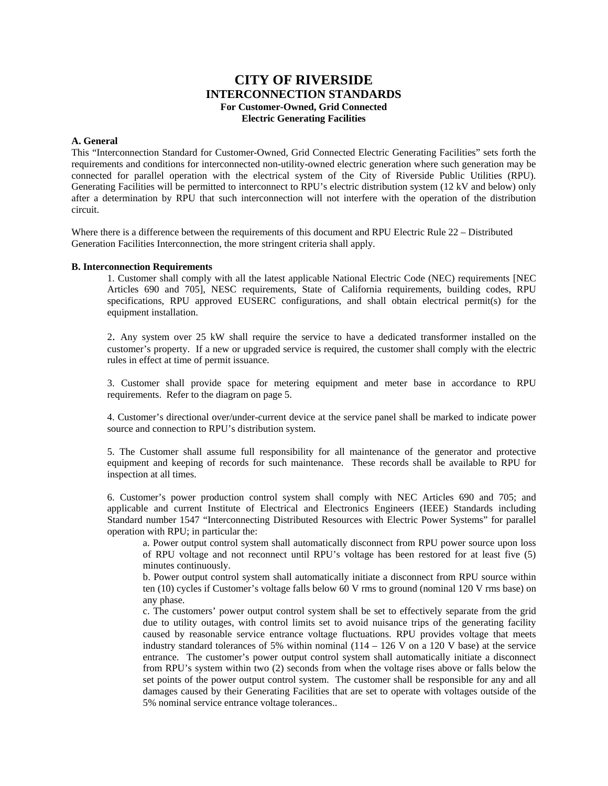# **CITY OF RIVERSIDE INTERCONNECTION STANDARDS For Customer-Owned, Grid Connected Electric Generating Facilities**

## **A. General**

This "Interconnection Standard for Customer-Owned, Grid Connected Electric Generating Facilities" sets forth the requirements and conditions for interconnected non-utility-owned electric generation where such generation may be connected for parallel operation with the electrical system of the City of Riverside Public Utilities (RPU). Generating Facilities will be permitted to interconnect to RPU's electric distribution system (12 kV and below) only after a determination by RPU that such interconnection will not interfere with the operation of the distribution circuit.

Where there is a difference between the requirements of this document and RPU Electric Rule 22 – Distributed Generation Facilities Interconnection, the more stringent criteria shall apply.

#### **B. Interconnection Requirements**

1. Customer shall comply with all the latest applicable National Electric Code (NEC) requirements [NEC Articles 690 and 705], NESC requirements, State of California requirements, building codes, RPU specifications, RPU approved EUSERC configurations, and shall obtain electrical permit(s) for the equipment installation.

2. Any system over 25 kW shall require the service to have a dedicated transformer installed on the customer's property. If a new or upgraded service is required, the customer shall comply with the electric rules in effect at time of permit issuance.

3. Customer shall provide space for metering equipment and meter base in accordance to RPU requirements. Refer to the diagram on page 5.

4. Customer's directional over/under-current device at the service panel shall be marked to indicate power source and connection to RPU's distribution system.

5. The Customer shall assume full responsibility for all maintenance of the generator and protective equipment and keeping of records for such maintenance. These records shall be available to RPU for inspection at all times.

6. Customer's power production control system shall comply with NEC Articles 690 and 705; and applicable and current Institute of Electrical and Electronics Engineers (IEEE) Standards including Standard number 1547 "Interconnecting Distributed Resources with Electric Power Systems" for parallel operation with RPU; in particular the:

a. Power output control system shall automatically disconnect from RPU power source upon loss of RPU voltage and not reconnect until RPU's voltage has been restored for at least five (5) minutes continuously.

b. Power output control system shall automatically initiate a disconnect from RPU source within ten (10) cycles if Customer's voltage falls below 60 V rms to ground (nominal 120 V rms base) on any phase.

c. The customers' power output control system shall be set to effectively separate from the grid due to utility outages, with control limits set to avoid nuisance trips of the generating facility caused by reasonable service entrance voltage fluctuations. RPU provides voltage that meets industry standard tolerances of 5% within nominal  $(114 - 126 \text{ V} \text{ on a } 120 \text{ V} \text{ base})$  at the service entrance. The customer's power output control system shall automatically initiate a disconnect from RPU's system within two (2) seconds from when the voltage rises above or falls below the set points of the power output control system. The customer shall be responsible for any and all damages caused by their Generating Facilities that are set to operate with voltages outside of the 5% nominal service entrance voltage tolerances..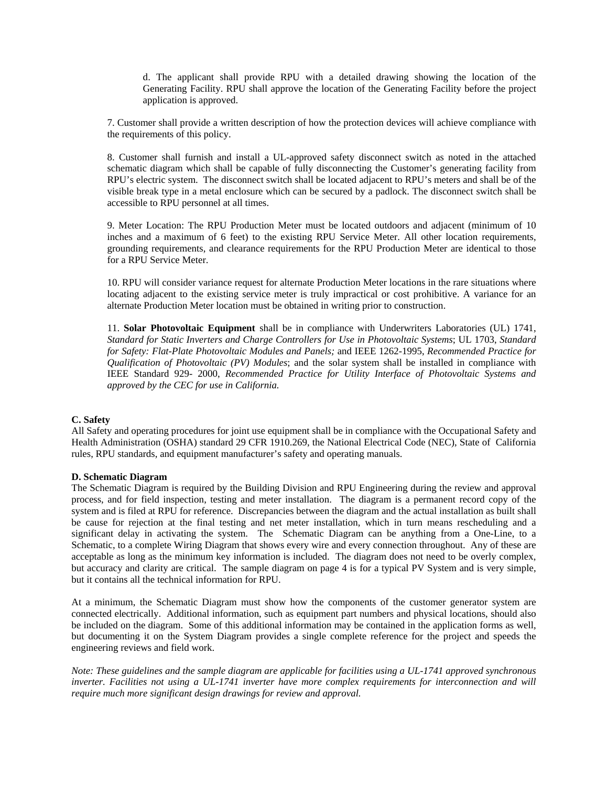d. The applicant shall provide RPU with a detailed drawing showing the location of the Generating Facility. RPU shall approve the location of the Generating Facility before the project application is approved.

7. Customer shall provide a written description of how the protection devices will achieve compliance with the requirements of this policy.

8. Customer shall furnish and install a UL-approved safety disconnect switch as noted in the attached schematic diagram which shall be capable of fully disconnecting the Customer's generating facility from RPU's electric system. The disconnect switch shall be located adjacent to RPU's meters and shall be of the visible break type in a metal enclosure which can be secured by a padlock. The disconnect switch shall be accessible to RPU personnel at all times.

9. Meter Location: The RPU Production Meter must be located outdoors and adjacent (minimum of 10 inches and a maximum of 6 feet) to the existing RPU Service Meter. All other location requirements, grounding requirements, and clearance requirements for the RPU Production Meter are identical to those for a RPU Service Meter.

10. RPU will consider variance request for alternate Production Meter locations in the rare situations where locating adjacent to the existing service meter is truly impractical or cost prohibitive. A variance for an alternate Production Meter location must be obtained in writing prior to construction.

11. **Solar Photovoltaic Equipment** shall be in compliance with Underwriters Laboratories (UL) 1741, *Standard for Static Inverters and Charge Controllers for Use in Photovoltaic Systems*; UL 1703, *Standard for Safety: Flat-Plate Photovoltaic Modules and Panels;* and IEEE 1262-1995, *Recommended Practice for Qualification of Photovoltaic (PV) Modules*; and the solar system shall be installed in compliance with IEEE Standard 929- 2000, *Recommended Practice for Utility Interface of Photovoltaic Systems and approved by the CEC for use in California.* 

### **C. Safety**

All Safety and operating procedures for joint use equipment shall be in compliance with the Occupational Safety and Health Administration (OSHA) standard 29 CFR 1910.269, the National Electrical Code (NEC), State of California rules, RPU standards, and equipment manufacturer's safety and operating manuals.

#### **D. Schematic Diagram**

The Schematic Diagram is required by the Building Division and RPU Engineering during the review and approval process, and for field inspection, testing and meter installation. The diagram is a permanent record copy of the system and is filed at RPU for reference. Discrepancies between the diagram and the actual installation as built shall be cause for rejection at the final testing and net meter installation, which in turn means rescheduling and a significant delay in activating the system. The Schematic Diagram can be anything from a One-Line, to a Schematic, to a complete Wiring Diagram that shows every wire and every connection throughout. Any of these are acceptable as long as the minimum key information is included. The diagram does not need to be overly complex, but accuracy and clarity are critical. The sample diagram on page 4 is for a typical PV System and is very simple, but it contains all the technical information for RPU.

At a minimum, the Schematic Diagram must show how the components of the customer generator system are connected electrically. Additional information, such as equipment part numbers and physical locations, should also be included on the diagram. Some of this additional information may be contained in the application forms as well, but documenting it on the System Diagram provides a single complete reference for the project and speeds the engineering reviews and field work.

*Note: These guidelines and the sample diagram are applicable for facilities using a UL-1741 approved synchronous inverter. Facilities not using a UL-1741 inverter have more complex requirements for interconnection and will require much more significant design drawings for review and approval.*